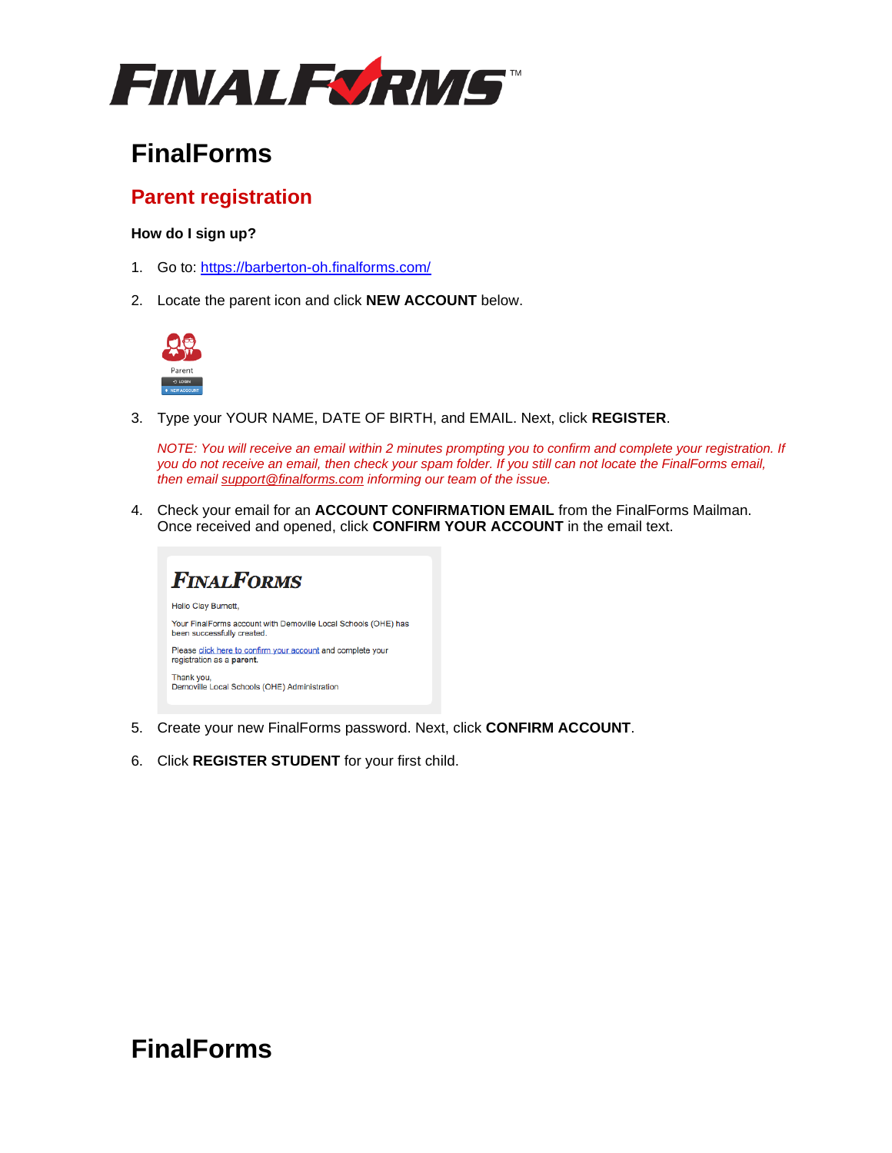

# **FinalForms**

### **Parent registration**

#### **How do I sign up?**

- 1. Go to: <https://barberton-oh.finalforms.com/>
- 2. Locate the parent icon and click **NEW ACCOUNT** below.



3. Type your YOUR NAME, DATE OF BIRTH, and EMAIL. Next, click **REGISTER**.

*NOTE: You will receive an email within 2 minutes prompting you to confirm and complete your registration. If you do not receive an email, then check your spam folder. If you still can not locate the FinalForms email, then email [support@finalforms.com](mailto:support@finalforms.com) informing our team of the issue.*

4. Check your email for an **ACCOUNT CONFIRMATION EMAIL** from the FinalForms Mailman. Once received and opened, click **CONFIRM YOUR ACCOUNT** in the email text.



- 5. Create your new FinalForms password. Next, click **CONFIRM ACCOUNT**.
- 6. Click **REGISTER STUDENT** for your first child.

## **FinalForms**